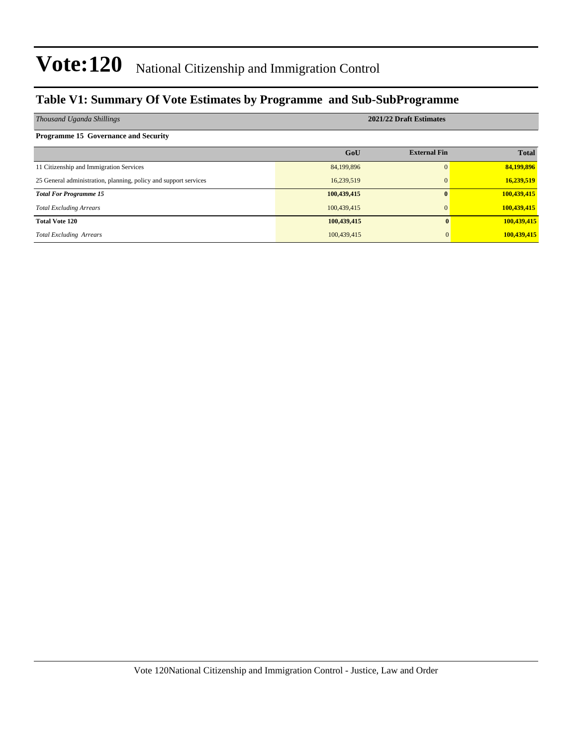### **Table V1: Summary Of Vote Estimates by Programme and Sub-SubProgramme**

| Thousand Uganda Shillings                                        | 2021/22 Draft Estimates |                     |              |  |  |  |
|------------------------------------------------------------------|-------------------------|---------------------|--------------|--|--|--|
| <b>Programme 15 Governance and Security</b>                      |                         |                     |              |  |  |  |
|                                                                  | GoU                     | <b>External Fin</b> | <b>Total</b> |  |  |  |
| 11 Citizenship and Immigration Services                          | 84,199,896              | $\Omega$            | 84,199,896   |  |  |  |
| 25 General administration, planning, policy and support services | 16,239,519              | $\Omega$            | 16,239,519   |  |  |  |
| <b>Total For Programme 15</b>                                    | 100,439,415             | 0                   | 100,439,415  |  |  |  |
| <b>Total Excluding Arrears</b>                                   | 100,439,415             | $\Omega$            | 100,439,415  |  |  |  |
| <b>Total Vote 120</b>                                            | 100,439,415             |                     | 100,439,415  |  |  |  |
| <b>Total Excluding Arrears</b>                                   | 100,439,415             |                     | 100,439,415  |  |  |  |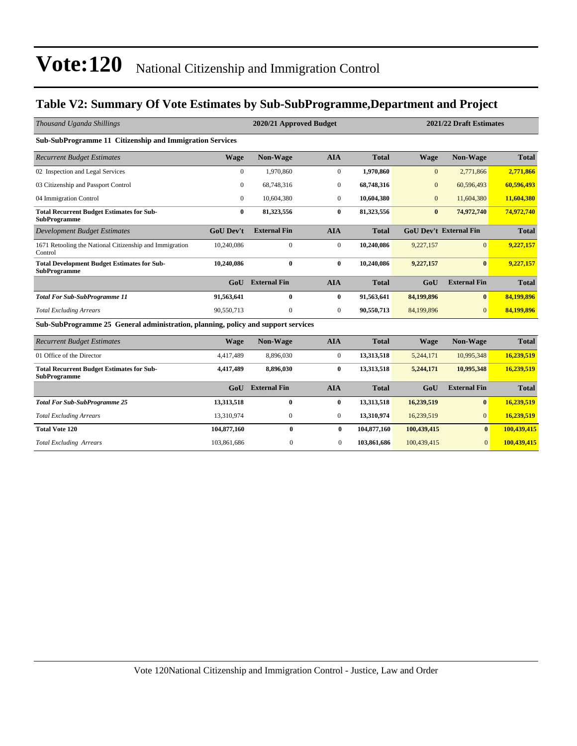### **Table V2: Summary Of Vote Estimates by Sub-SubProgramme,Department and Project**

| Thousand Uganda Shillings                                                         |                  | 2020/21 Approved Budget |                  |              | 2021/22 Draft Estimates |                               |              |  |
|-----------------------------------------------------------------------------------|------------------|-------------------------|------------------|--------------|-------------------------|-------------------------------|--------------|--|
| Sub-SubProgramme 11 Citizenship and Immigration Services                          |                  |                         |                  |              |                         |                               |              |  |
| <b>Recurrent Budget Estimates</b>                                                 | <b>Wage</b>      | Non-Wage                | <b>AIA</b>       | <b>Total</b> | <b>Wage</b>             | Non-Wage                      | <b>Total</b> |  |
| 02 Inspection and Legal Services                                                  | $\mathbf{0}$     | 1,970,860               | $\boldsymbol{0}$ | 1,970,860    | $\boldsymbol{0}$        | 2,771,866                     | 2,771,866    |  |
| 03 Citizenship and Passport Control                                               | $\Omega$         | 68,748,316              | $\mathbf{0}$     | 68,748,316   | $\overline{0}$          | 60,596,493                    | 60,596,493   |  |
| 04 Immigration Control                                                            | $\mathbf{0}$     | 10,604,380              | $\overline{0}$   | 10,604,380   | $\overline{0}$          | 11,604,380                    | 11,604,380   |  |
| <b>Total Recurrent Budget Estimates for Sub-</b><br><b>SubProgramme</b>           | $\bf{0}$         | 81,323,556              | $\bf{0}$         | 81,323,556   | $\bf{0}$                | 74,972,740                    | 74,972,740   |  |
| <b>Development Budget Estimates</b>                                               | <b>GoU Dev't</b> | <b>External Fin</b>     | <b>AIA</b>       | <b>Total</b> |                         | <b>GoU Dev't External Fin</b> | <b>Total</b> |  |
| 1671 Retooling the National Citizenship and Immigration<br>Control                | 10,240,086       | $\mathbf{0}$            | $\mathbf{0}$     | 10,240,086   | 9,227,157               | $\overline{0}$                | 9,227,157    |  |
| <b>Total Development Budget Estimates for Sub-</b><br><b>SubProgramme</b>         | 10.240.086       | $\mathbf{0}$            | $\bf{0}$         | 10.240.086   | 9,227,157               | $\mathbf{0}$                  | 9,227,157    |  |
|                                                                                   | GoU              | <b>External Fin</b>     | <b>AIA</b>       | <b>Total</b> | GoU                     | <b>External Fin</b>           | <b>Total</b> |  |
| <b>Total For Sub-SubProgramme 11</b>                                              | 91,563,641       | $\bf{0}$                | $\bf{0}$         | 91,563,641   | 84,199,896              | $\mathbf{0}$                  | 84,199,896   |  |
| <b>Total Excluding Arrears</b>                                                    | 90,550,713       | $\mathbf{0}$            | $\mathbf{0}$     | 90,550,713   | 84,199,896              | $\Omega$                      | 84,199,896   |  |
| Sub-SubProgramme 25 General administration, planning, policy and support services |                  |                         |                  |              |                         |                               |              |  |
| <b>Recurrent Budget Estimates</b>                                                 | <b>Wage</b>      | Non-Wage                | <b>AIA</b>       | <b>Total</b> | <b>Wage</b>             | Non-Wage                      | <b>Total</b> |  |
| 01 Office of the Director                                                         | 4,417,489        | 8,896,030               | $\mathbf{0}$     | 13,313,518   | 5,244,171               | 10,995,348                    | 16,239,519   |  |
| <b>Total Recurrent Budget Estimates for Sub-</b><br><b>SubProgramme</b>           | 4,417,489        | 8.896.030               | $\bf{0}$         | 13,313,518   | 5,244,171               | 10,995,348                    | 16,239,519   |  |
|                                                                                   | GoU              | <b>External Fin</b>     | <b>AIA</b>       | <b>Total</b> | GoU                     | <b>External Fin</b>           | <b>Total</b> |  |
| <b>Total For Sub-SubProgramme 25</b>                                              | 13,313,518       | $\bf{0}$                | $\bf{0}$         | 13,313,518   | 16,239,519              | $\bf{0}$                      | 16,239,519   |  |
| <b>Total Excluding Arrears</b>                                                    | 13,310,974       | $\boldsymbol{0}$        | $\boldsymbol{0}$ | 13,310,974   | 16,239,519              | $\overline{0}$                | 16,239,519   |  |
| <b>Total Vote 120</b>                                                             | 104,877,160      | 0                       | $\bf{0}$         | 104,877,160  | 100,439,415             | $\bf{0}$                      | 100,439,415  |  |
| <b>Total Excluding Arrears</b>                                                    | 103,861,686      | $\mathbf{0}$            | $\mathbf{0}$     | 103,861,686  | 100,439,415             | $\mathbf{0}$                  | 100,439,415  |  |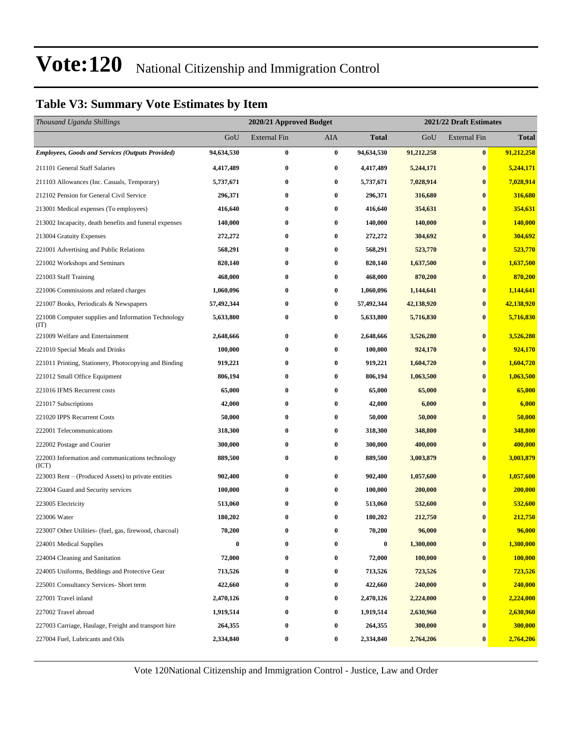### **Table V3: Summary Vote Estimates by Item**

| Thousand Uganda Shillings                                   |            | 2020/21 Approved Budget |          |                  | 2021/22 Draft Estimates |                     |              |  |
|-------------------------------------------------------------|------------|-------------------------|----------|------------------|-------------------------|---------------------|--------------|--|
|                                                             | GoU        | <b>External Fin</b>     | AIA      | <b>Total</b>     | GoU                     | <b>External Fin</b> | <b>Total</b> |  |
| <b>Employees, Goods and Services (Outputs Provided)</b>     | 94,634,530 | $\bf{0}$                | $\bf{0}$ | 94,634,530       | 91,212,258              | $\bf{0}$            | 91,212,258   |  |
| 211101 General Staff Salaries                               | 4,417,489  | $\bf{0}$                | 0        | 4,417,489        | 5,244,171               | $\bf{0}$            | 5,244,171    |  |
| 211103 Allowances (Inc. Casuals, Temporary)                 | 5,737,671  | $\bf{0}$                | 0        | 5,737,671        | 7,028,914               | $\bf{0}$            | 7,028,914    |  |
| 212102 Pension for General Civil Service                    | 296,371    | $\bf{0}$                | 0        | 296,371          | 316,680                 | $\bf{0}$            | 316,680      |  |
| 213001 Medical expenses (To employees)                      | 416,640    | $\bf{0}$                | 0        | 416,640          | 354,631                 | $\bf{0}$            | 354,631      |  |
| 213002 Incapacity, death benefits and funeral expenses      | 140,000    | $\bf{0}$                | 0        | 140,000          | 140,000                 | $\bf{0}$            | 140,000      |  |
| 213004 Gratuity Expenses                                    | 272,272    | $\bf{0}$                | 0        | 272,272          | 304,692                 | $\bf{0}$            | 304,692      |  |
| 221001 Advertising and Public Relations                     | 568,291    | $\bf{0}$                | 0        | 568,291          | 523,770                 | $\bf{0}$            | 523,770      |  |
| 221002 Workshops and Seminars                               | 820,140    | $\bf{0}$                | 0        | 820,140          | 1,637,500               | $\bf{0}$            | 1,637,500    |  |
| 221003 Staff Training                                       | 468,000    | $\bf{0}$                | 0        | 468,000          | 870,200                 | $\bf{0}$            | 870,200      |  |
| 221006 Commissions and related charges                      | 1,060,096  | $\bf{0}$                | 0        | 1,060,096        | 1,144,641               | $\bf{0}$            | 1,144,641    |  |
| 221007 Books, Periodicals & Newspapers                      | 57,492,344 | $\bf{0}$                | 0        | 57,492,344       | 42,138,920              | $\bf{0}$            | 42,138,920   |  |
| 221008 Computer supplies and Information Technology<br>(TT) | 5,633,800  | $\bf{0}$                | 0        | 5,633,800        | 5,716,830               | $\bf{0}$            | 5,716,830    |  |
| 221009 Welfare and Entertainment                            | 2,648,666  | $\bf{0}$                | 0        | 2,648,666        | 3,526,280               | $\bf{0}$            | 3,526,280    |  |
| 221010 Special Meals and Drinks                             | 100,000    | $\bf{0}$                | 0        | 100,000          | 924,170                 | $\bf{0}$            | 924,170      |  |
| 221011 Printing, Stationery, Photocopying and Binding       | 919,221    | $\bf{0}$                | 0        | 919,221          | 1,604,720               | $\bf{0}$            | 1,604,720    |  |
| 221012 Small Office Equipment                               | 806,194    | $\bf{0}$                | 0        | 806,194          | 1,063,500               | $\bf{0}$            | 1,063,500    |  |
| 221016 IFMS Recurrent costs                                 | 65,000     | $\bf{0}$                | 0        | 65,000           | 65,000                  | $\bf{0}$            | 65,000       |  |
| 221017 Subscriptions                                        | 42,000     | $\bf{0}$                | 0        | 42,000           | 6,000                   | $\bf{0}$            | 6,000        |  |
| 221020 IPPS Recurrent Costs                                 | 50,000     | $\bf{0}$                | 0        | 50,000           | 50,000                  | $\bf{0}$            | 50,000       |  |
| 222001 Telecommunications                                   | 318,300    | $\bf{0}$                | 0        | 318,300          | 348,800                 | $\bf{0}$            | 348,800      |  |
| 222002 Postage and Courier                                  | 300,000    | $\bf{0}$                | 0        | 300,000          | 400,000                 | $\bf{0}$            | 400,000      |  |
| 222003 Information and communications technology<br>(ICT)   | 889,500    | $\bf{0}$                | 0        | 889,500          | 3,003,879               | $\bf{0}$            | 3,003,879    |  |
| 223003 Rent – (Produced Assets) to private entities         | 902,400    | $\bf{0}$                | 0        | 902,400          | 1,057,600               | $\bf{0}$            | 1,057,600    |  |
| 223004 Guard and Security services                          | 100,000    | $\bf{0}$                | 0        | 100,000          | 200,000                 | $\bf{0}$            | 200,000      |  |
| 223005 Electricity                                          | 513,060    | $\bf{0}$                | 0        | 513,060          | 532,600                 | $\bf{0}$            | 532,600      |  |
| 223006 Water                                                | 180,202    | $\bf{0}$                | 0        | 180,202          | 212,750                 | $\bf{0}$            | 212,750      |  |
| 223007 Other Utilities- (fuel, gas, firewood, charcoal)     | 70,200     | $\bf{0}$                | 0        | 70,200           | 96,000                  | $\bf{0}$            | 96,000       |  |
| 224001 Medical Supplies                                     | $\bf{0}$   | $\bf{0}$                | $\bf{0}$ | $\boldsymbol{0}$ | 1,300,000               | $\boldsymbol{0}$    | 1,300,000    |  |
| 224004 Cleaning and Sanitation                              | 72,000     | $\bf{0}$                | 0        | 72,000           | 100,000                 | $\bf{0}$            | 100,000      |  |
| 224005 Uniforms, Beddings and Protective Gear               | 713,526    | $\boldsymbol{0}$        | 0        | 713,526          | 723,526                 | $\bf{0}$            | 723,526      |  |
| 225001 Consultancy Services- Short term                     | 422,660    | $\bf{0}$                | 0        | 422,660          | 240,000                 | $\bf{0}$            | 240,000      |  |
| 227001 Travel inland                                        | 2,470,126  | $\bf{0}$                | 0        | 2,470,126        | 2,224,000               | $\bf{0}$            | 2,224,000    |  |
| 227002 Travel abroad                                        | 1,919,514  | $\bf{0}$                | 0        | 1,919,514        | 2,630,960               | $\bf{0}$            | 2,630,960    |  |
| 227003 Carriage, Haulage, Freight and transport hire        | 264,355    | $\bf{0}$                | 0        | 264,355          | 300,000                 | $\bf{0}$            | 300,000      |  |
| 227004 Fuel, Lubricants and Oils                            | 2,334,840  | $\boldsymbol{0}$        | 0        | 2,334,840        | 2,764,206               | $\bf{0}$            | 2,764,206    |  |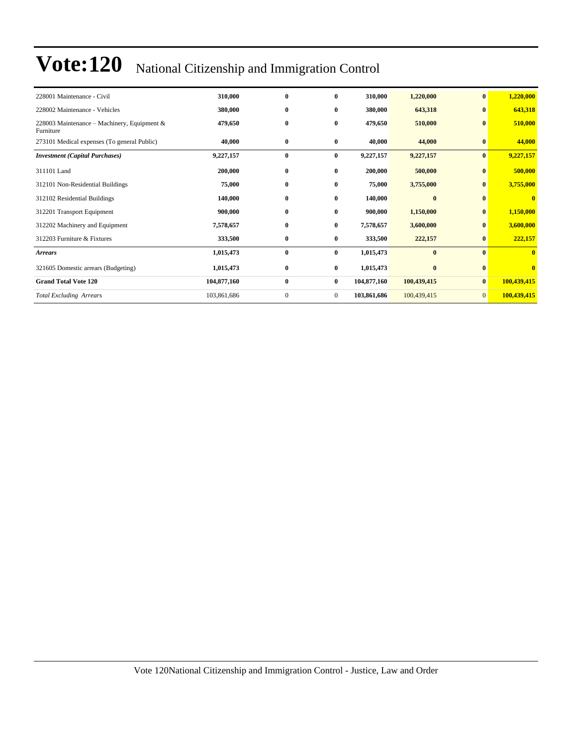| 228001 Maintenance - Civil                               | 310,000     | $\bf{0}$     | $\bf{0}$       | 310,000     | 1,220,000   | $\bf{0}$       | 1,220,000               |
|----------------------------------------------------------|-------------|--------------|----------------|-------------|-------------|----------------|-------------------------|
| 228002 Maintenance - Vehicles                            | 380,000     | $\bf{0}$     | $\bf{0}$       | 380,000     | 643,318     | $\bf{0}$       | 643,318                 |
| 228003 Maintenance – Machinery, Equipment &<br>Furniture | 479,650     | $\bf{0}$     | $\bf{0}$       | 479,650     | 510,000     | $\mathbf{0}$   | 510,000                 |
| 273101 Medical expenses (To general Public)              | 40,000      | $\bf{0}$     | $\bf{0}$       | 40,000      | 44,000      | $\bf{0}$       | 44,000                  |
| <b>Investment</b> (Capital Purchases)                    | 9,227,157   | $\bf{0}$     | $\bf{0}$       | 9,227,157   | 9,227,157   | $\bf{0}$       | 9,227,157               |
| 311101 Land                                              | 200,000     | $\bf{0}$     | $\bf{0}$       | 200,000     | 500,000     | $\mathbf{0}$   | 500,000                 |
| 312101 Non-Residential Buildings                         | 75,000      | $\bf{0}$     | $\bf{0}$       | 75,000      | 3,755,000   | $\bf{0}$       | 3,755,000               |
| 312102 Residential Buildings                             | 140,000     | $\bf{0}$     | 0              | 140,000     | $\bf{0}$    | $\bf{0}$       | $\bf{0}$                |
| 312201 Transport Equipment                               | 900,000     | $\bf{0}$     | 0              | 900,000     | 1,150,000   | $\bf{0}$       | 1,150,000               |
| 312202 Machinery and Equipment                           | 7,578,657   | $\bf{0}$     | 0              | 7,578,657   | 3,600,000   | $\bf{0}$       | 3,600,000               |
| 312203 Furniture & Fixtures                              | 333,500     | $\bf{0}$     | $\bf{0}$       | 333,500     | 222,157     | $\bf{0}$       | 222,157                 |
| <b>Arrears</b>                                           | 1,015,473   | $\bf{0}$     | $\bf{0}$       | 1,015,473   | $\bf{0}$    | $\mathbf{0}$   | $\overline{\mathbf{0}}$ |
| 321605 Domestic arrears (Budgeting)                      | 1,015,473   | $\bf{0}$     | $\bf{0}$       | 1,015,473   | $\bf{0}$    | $\bf{0}$       | $\mathbf{0}$            |
| <b>Grand Total Vote 120</b>                              | 104,877,160 | $\bf{0}$     | $\bf{0}$       | 104,877,160 | 100,439,415 | $\bf{0}$       | 100,439,415             |
| <b>Total Excluding Arrears</b>                           | 103,861,686 | $\mathbf{0}$ | $\overline{0}$ | 103,861,686 | 100,439,415 | $\overline{0}$ | 100,439,415             |
|                                                          |             |              |                |             |             |                |                         |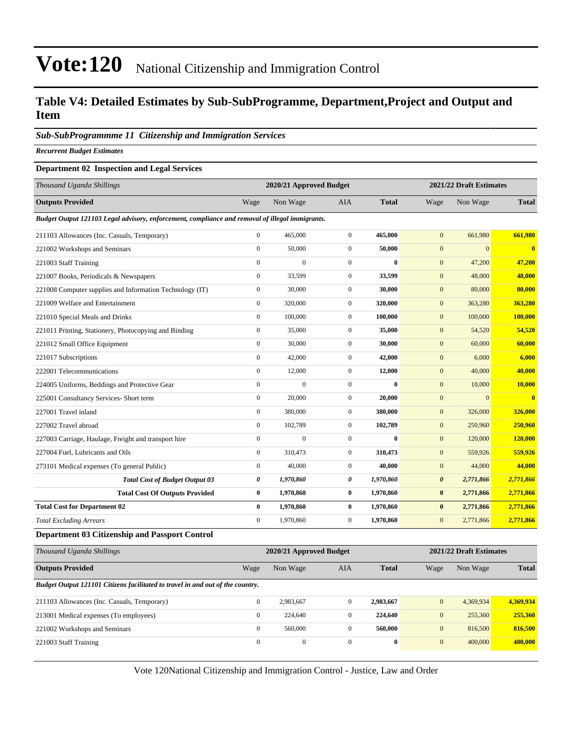### **Table V4: Detailed Estimates by Sub-SubProgramme, Department,Project and Output and Item**

#### *Sub-SubProgrammme 11 Citizenship and Immigration Services*

*Recurrent Budget Estimates*

#### **Department 02 Inspection and Legal Services**

| Thousand Uganda Shillings                                                                       | 2020/21 Approved Budget |                |                  |              | 2021/22 Draft Estimates |              |                         |  |
|-------------------------------------------------------------------------------------------------|-------------------------|----------------|------------------|--------------|-------------------------|--------------|-------------------------|--|
| <b>Outputs Provided</b>                                                                         | Wage                    | Non Wage       | <b>AIA</b>       | <b>Total</b> | Wage                    | Non Wage     | <b>Total</b>            |  |
| Budget Output 121103 Legal advisory, enforcement, compliance and removal of illegal immigrants. |                         |                |                  |              |                         |              |                         |  |
| 211103 Allowances (Inc. Casuals, Temporary)                                                     | $\overline{0}$          | 465,000        | $\mathbf{0}$     | 465,000      | $\mathbf{0}$            | 661,980      | 661,980                 |  |
| 221002 Workshops and Seminars                                                                   | $\overline{0}$          | 50,000         | $\mathbf{0}$     | 50,000       | $\mathbf{0}$            | $\Omega$     | $\overline{\mathbf{0}}$ |  |
| 221003 Staff Training                                                                           | $\overline{0}$          | $\mathbf{0}$   | $\mathbf{0}$     | $\mathbf{0}$ | $\mathbf{0}$            | 47,200       | 47,200                  |  |
| 221007 Books, Periodicals & Newspapers                                                          | $\mathbf{0}$            | 33,599         | $\mathbf{0}$     | 33,599       | $\mathbf{0}$            | 48,000       | 48,000                  |  |
| 221008 Computer supplies and Information Technology (IT)                                        | $\mathbf{0}$            | 30,000         | $\mathbf{0}$     | 30,000       | $\mathbf{0}$            | 80,000       | 80,000                  |  |
| 221009 Welfare and Entertainment                                                                | $\overline{0}$          | 320,000        | $\mathbf{0}$     | 320,000      | $\mathbf{0}$            | 363,280      | 363,280                 |  |
| 221010 Special Meals and Drinks                                                                 | $\overline{0}$          | 100,000        | $\mathbf{0}$     | 100,000      | $\mathbf{0}$            | 100,000      | 100,000                 |  |
| 221011 Printing, Stationery, Photocopying and Binding                                           | $\boldsymbol{0}$        | 35,000         | $\mathbf{0}$     | 35,000       | $\mathbf{0}$            | 54,520       | 54,520                  |  |
| 221012 Small Office Equipment                                                                   | $\overline{0}$          | 30,000         | $\mathbf{0}$     | 30,000       | $\mathbf{0}$            | 60,000       | 60,000                  |  |
| 221017 Subscriptions                                                                            | $\boldsymbol{0}$        | 42,000         | $\boldsymbol{0}$ | 42,000       | $\mathbf{0}$            | 6,000        | 6,000                   |  |
| 222001 Telecommunications                                                                       | $\overline{0}$          | 12,000         | $\mathbf{0}$     | 12,000       | $\mathbf{0}$            | 40,000       | 40,000                  |  |
| 224005 Uniforms, Beddings and Protective Gear                                                   | $\overline{0}$          | $\overline{0}$ | $\overline{0}$   | $\bf{0}$     | $\mathbf{0}$            | 10,000       | 10,000                  |  |
| 225001 Consultancy Services- Short term                                                         | $\overline{0}$          | 20,000         | $\mathbf{0}$     | 20,000       | $\mathbf{0}$            | $\mathbf{0}$ | $\bf{0}$                |  |
| 227001 Travel inland                                                                            | $\overline{0}$          | 380,000        | $\mathbf{0}$     | 380,000      | $\mathbf{0}$            | 326,000      | 326,000                 |  |
| 227002 Travel abroad                                                                            | $\overline{0}$          | 102,789        | $\mathbf{0}$     | 102,789      | $\mathbf{0}$            | 250,960      | 250,960                 |  |
| 227003 Carriage, Haulage, Freight and transport hire                                            | $\boldsymbol{0}$        | $\mathbf{0}$   | $\mathbf{0}$     | $\mathbf{0}$ | $\mathbf{0}$            | 120,000      | 120,000                 |  |
| 227004 Fuel, Lubricants and Oils                                                                | $\overline{0}$          | 310,473        | $\boldsymbol{0}$ | 310,473      | $\mathbf{0}$            | 559,926      | 559,926                 |  |
| 273101 Medical expenses (To general Public)                                                     | $\boldsymbol{0}$        | 40,000         | $\mathbf{0}$     | 40,000       | $\mathbf{0}$            | 44,000       | 44,000                  |  |
| <b>Total Cost of Budget Output 03</b>                                                           | 0                       | 1,970,860      | 0                | 1,970,860    | $\boldsymbol{\theta}$   | 2,771,866    | 2,771,866               |  |
| <b>Total Cost Of Outputs Provided</b>                                                           | $\bf{0}$                | 1,970,860      | $\bf{0}$         | 1,970,860    | $\bf{0}$                | 2,771,866    | 2,771,866               |  |
| <b>Total Cost for Department 02</b>                                                             | $\bf{0}$                | 1,970,860      | $\bf{0}$         | 1,970,860    | $\bf{0}$                | 2,771,866    | 2,771,866               |  |
| <b>Total Excluding Arrears</b>                                                                  | $\overline{0}$          | 1,970,860      | $\mathbf{0}$     | 1,970,860    | $\mathbf{0}$            | 2,771,866    | 2,771,866               |  |

#### **Department 03 Citizenship and Passport Control**

| Thousand Uganda Shillings                                                      | 2020/21 Approved Budget |              |              |              | 2021/22 Draft Estimates |           |              |  |
|--------------------------------------------------------------------------------|-------------------------|--------------|--------------|--------------|-------------------------|-----------|--------------|--|
| <b>Outputs Provided</b>                                                        | Wage                    | Non Wage     | AIA          | <b>Total</b> | Wage                    | Non Wage  | <b>Total</b> |  |
| Budget Output 121101 Citizens facilitated to travel in and out of the country. |                         |              |              |              |                         |           |              |  |
| 211103 Allowances (Inc. Casuals, Temporary)                                    | $\Omega$                | 2,983,667    | $\mathbf{0}$ | 2,983,667    | $\mathbf{0}$            | 4,369,934 | 4,369,934    |  |
| 213001 Medical expenses (To employees)                                         | $\mathbf{0}$            | 224,640      | $\mathbf{0}$ | 224,640      | $\overline{0}$          | 255,360   | 255,360      |  |
| 221002 Workshops and Seminars                                                  | $\mathbf{0}$            | 560,000      | $\mathbf{0}$ | 560,000      | $\overline{0}$          | 816,500   | 816,500      |  |
| 221003 Staff Training                                                          | $\mathbf{0}$            | $\mathbf{0}$ | $\mathbf{0}$ | $\bf{0}$     | $\mathbf{0}$            | 400,000   | 400,000      |  |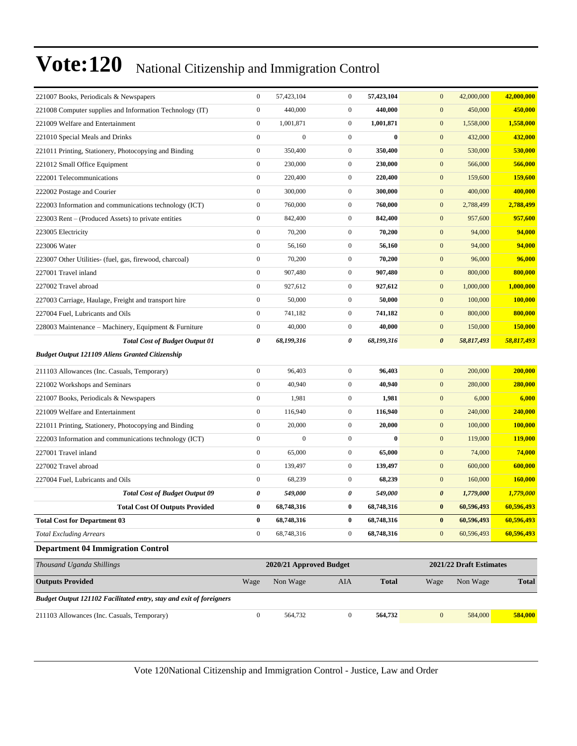| 221007 Books, Periodicals & Newspapers                              | $\boldsymbol{0}$ | 57,423,104              | $\mathbf{0}$     | 57,423,104   | $\mathbf{0}$<br>42,000,000          | 42,000,000     |
|---------------------------------------------------------------------|------------------|-------------------------|------------------|--------------|-------------------------------------|----------------|
| 221008 Computer supplies and Information Technology (IT)            | $\boldsymbol{0}$ | 440,000                 | $\boldsymbol{0}$ | 440,000      | $\mathbf{0}$<br>450,000             | 450,000        |
| 221009 Welfare and Entertainment                                    | $\mathbf{0}$     | 1,001,871               | $\boldsymbol{0}$ | 1,001,871    | $\mathbf{0}$<br>1,558,000           | 1,558,000      |
| 221010 Special Meals and Drinks                                     | $\boldsymbol{0}$ | $\boldsymbol{0}$        | $\boldsymbol{0}$ | $\bf{0}$     | $\mathbf{0}$<br>432,000             | 432,000        |
| 221011 Printing, Stationery, Photocopying and Binding               | $\boldsymbol{0}$ | 350,400                 | $\mathbf{0}$     | 350,400      | $\mathbf{0}$<br>530,000             | 530,000        |
| 221012 Small Office Equipment                                       | $\boldsymbol{0}$ | 230,000                 | $\boldsymbol{0}$ | 230,000      | $\mathbf{0}$<br>566,000             | 566,000        |
| 222001 Telecommunications                                           | $\boldsymbol{0}$ | 220,400                 | $\boldsymbol{0}$ | 220,400      | $\mathbf{0}$<br>159,600             | <b>159,600</b> |
| 222002 Postage and Courier                                          | $\mathbf{0}$     | 300,000                 | $\mathbf{0}$     | 300,000      | $\mathbf{0}$<br>400,000             | 400,000        |
| 222003 Information and communications technology (ICT)              | $\boldsymbol{0}$ | 760,000                 | $\boldsymbol{0}$ | 760,000      | $\mathbf{0}$<br>2,788,499           | 2,788,499      |
| 223003 Rent – (Produced Assets) to private entities                 | $\boldsymbol{0}$ | 842,400                 | $\mathbf{0}$     | 842,400      | $\mathbf{0}$<br>957,600             | 957,600        |
| 223005 Electricity                                                  | $\boldsymbol{0}$ | 70,200                  | $\boldsymbol{0}$ | 70,200       | $\mathbf{0}$<br>94,000              | 94,000         |
| 223006 Water                                                        | $\boldsymbol{0}$ | 56,160                  | $\boldsymbol{0}$ | 56,160       | $\mathbf{0}$<br>94,000              | 94,000         |
| 223007 Other Utilities- (fuel, gas, firewood, charcoal)             | $\mathbf{0}$     | 70,200                  | $\mathbf{0}$     | 70,200       | $\mathbf{0}$<br>96,000              | 96,000         |
| 227001 Travel inland                                                | $\boldsymbol{0}$ | 907,480                 | $\boldsymbol{0}$ | 907,480      | $\mathbf{0}$<br>800,000             | 800,000        |
| 227002 Travel abroad                                                | $\boldsymbol{0}$ | 927,612                 | $\mathbf{0}$     | 927,612      | $\mathbf{0}$<br>1,000,000           | 1,000,000      |
| 227003 Carriage, Haulage, Freight and transport hire                | $\boldsymbol{0}$ | 50,000                  | $\boldsymbol{0}$ | 50,000       | $\mathbf{0}$<br>100,000             | 100.000        |
| 227004 Fuel, Lubricants and Oils                                    | $\boldsymbol{0}$ | 741,182                 | $\boldsymbol{0}$ | 741,182      | $\mathbf{0}$<br>800,000             | 800,000        |
| 228003 Maintenance – Machinery, Equipment & Furniture               | $\boldsymbol{0}$ | 40,000                  | $\mathbf{0}$     | 40,000       | $\mathbf{0}$<br>150,000             | 150,000        |
| <b>Total Cost of Budget Output 01</b>                               | 0                | 68,199,316              | 0                | 68,199,316   | $\boldsymbol{\theta}$<br>58,817,493 | 58,817,493     |
| <b>Budget Output 121109 Aliens Granted Citizenship</b>              |                  |                         |                  |              |                                     |                |
| 211103 Allowances (Inc. Casuals, Temporary)                         | $\boldsymbol{0}$ | 96,403                  | $\boldsymbol{0}$ | 96,403       | $\mathbf{0}$<br>200,000             | 200,000        |
| 221002 Workshops and Seminars                                       | $\boldsymbol{0}$ | 40,940                  | $\boldsymbol{0}$ | 40,940       | $\mathbf{0}$<br>280,000             | 280,000        |
| 221007 Books, Periodicals & Newspapers                              | $\boldsymbol{0}$ | 1,981                   | $\boldsymbol{0}$ | 1,981        | $\mathbf{0}$<br>6,000               | 6,000          |
| 221009 Welfare and Entertainment                                    | $\boldsymbol{0}$ | 116,940                 | $\boldsymbol{0}$ | 116,940      | $\mathbf{0}$<br>240,000             | 240,000        |
| 221011 Printing, Stationery, Photocopying and Binding               | $\boldsymbol{0}$ | 20,000                  | $\boldsymbol{0}$ | 20,000       | $\mathbf{0}$<br>100,000             | 100,000        |
| 222003 Information and communications technology (ICT)              | $\boldsymbol{0}$ | $\boldsymbol{0}$        | $\boldsymbol{0}$ | $\bf{0}$     | $\mathbf{0}$<br>119,000             | 119,000        |
| 227001 Travel inland                                                | $\boldsymbol{0}$ | 65,000                  | $\boldsymbol{0}$ | 65,000       | $\mathbf{0}$<br>74,000              | 74,000         |
| 227002 Travel abroad                                                | $\boldsymbol{0}$ | 139,497                 | $\boldsymbol{0}$ | 139,497      | $\mathbf{0}$<br>600,000             | 600,000        |
| 227004 Fuel, Lubricants and Oils                                    | $\boldsymbol{0}$ | 68,239                  | $\boldsymbol{0}$ | 68,239       | $\mathbf{0}$<br>160,000             | 160,000        |
| <b>Total Cost of Budget Output 09</b>                               | 0                | 549,000                 | 0                | 549,000      | $\boldsymbol{\theta}$<br>1,779,000  | 1,779,000      |
| <b>Total Cost Of Outputs Provided</b>                               | $\bf{0}$         | 68,748,316              | $\bf{0}$         | 68,748,316   | $\bf{0}$<br>60,596,493              | 60,596,493     |
| <b>Total Cost for Department 03</b>                                 | $\bf{0}$         | 68,748,316              | 0                | 68,748,316   | 60,596,493<br>$\bf{0}$              | 60,596,493     |
| <b>Total Excluding Arrears</b>                                      | $\boldsymbol{0}$ | 68,748,316              | $\boldsymbol{0}$ | 68,748,316   | $\boldsymbol{0}$<br>60,596,493      | 60,596,493     |
| <b>Department 04 Immigration Control</b>                            |                  |                         |                  |              |                                     |                |
| Thousand Uganda Shillings                                           |                  | 2020/21 Approved Budget |                  |              | 2021/22 Draft Estimates             |                |
| <b>Outputs Provided</b>                                             | Wage             | Non Wage                | AIA              | <b>Total</b> | Non Wage<br>Wage                    | <b>Total</b>   |
| Budget Output 121102 Facilitated entry, stay and exit of foreigners |                  |                         |                  |              |                                     |                |
| 211103 Allowances (Inc. Casuals, Temporary)                         | $\boldsymbol{0}$ | 564,732                 | $\boldsymbol{0}$ | 564,732      | $\boldsymbol{0}$<br>584,000         | 584,000        |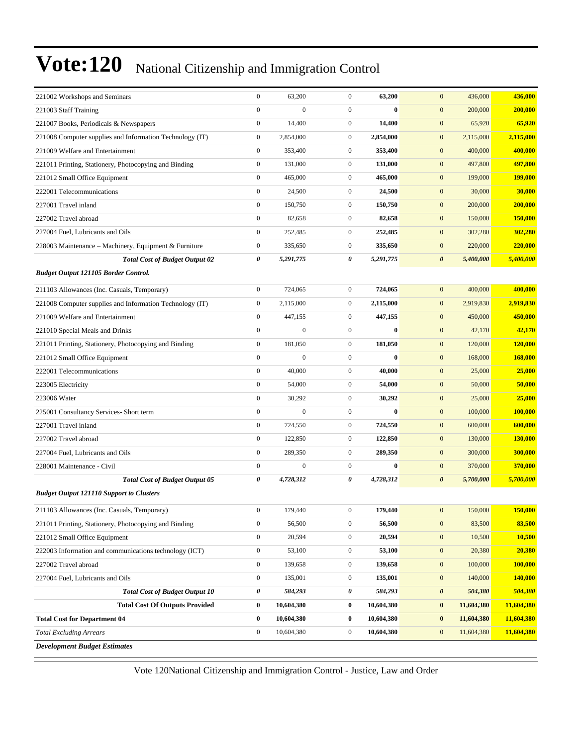| 221002 Workshops and Seminars<br>221003 Staff Training   | $\boldsymbol{0}$<br>$\mathbf{0}$ | 63,200<br>$\boldsymbol{0}$ | $\mathbf{0}$<br>$\overline{0}$ | 63,200<br>$\bf{0}$ | $\mathbf{0}$<br>436,000<br>$\mathbf{0}$<br>200,000 | 436,000<br>200,000 |
|----------------------------------------------------------|----------------------------------|----------------------------|--------------------------------|--------------------|----------------------------------------------------|--------------------|
| 221007 Books, Periodicals & Newspapers                   | $\boldsymbol{0}$                 | 14,400                     | $\mathbf{0}$                   | 14,400             | $\mathbf{0}$<br>65,920                             | 65,920             |
| 221008 Computer supplies and Information Technology (IT) | $\boldsymbol{0}$                 | 2,854,000                  | $\overline{0}$                 | 2,854,000          | $\mathbf{0}$<br>2,115,000                          | 2,115,000          |
| 221009 Welfare and Entertainment                         | $\mathbf{0}$                     | 353,400                    | $\mathbf{0}$                   | 353,400            | $\mathbf{0}$<br>400,000                            | 400,000            |
| 221011 Printing, Stationery, Photocopying and Binding    | $\boldsymbol{0}$                 | 131,000                    | $\mathbf{0}$                   | 131,000            | $\mathbf{0}$<br>497,800                            | 497,800            |
| 221012 Small Office Equipment                            | $\boldsymbol{0}$                 | 465,000                    | $\mathbf{0}$                   | 465,000            | $\bf{0}$<br>199,000                                | <b>199,000</b>     |
| 222001 Telecommunications                                | $\boldsymbol{0}$                 | 24,500                     | $\mathbf{0}$                   | 24,500             | $\mathbf{0}$<br>30,000                             | 30,000             |
| 227001 Travel inland                                     | $\boldsymbol{0}$                 | 150,750                    | $\mathbf{0}$                   | 150,750            | $\mathbf{0}$<br>200,000                            | 200,000            |
| 227002 Travel abroad                                     | $\boldsymbol{0}$                 | 82,658                     | $\mathbf{0}$                   | 82,658             | $\mathbf{0}$<br>150,000                            | 150,000            |
| 227004 Fuel, Lubricants and Oils                         | $\boldsymbol{0}$                 | 252,485                    | $\mathbf{0}$                   | 252,485            | $\mathbf{0}$<br>302,280                            | 302,280            |
| 228003 Maintenance – Machinery, Equipment & Furniture    | $\boldsymbol{0}$                 | 335,650                    | $\mathbf{0}$                   | 335,650            | $\bf{0}$<br>220,000                                | 220,000            |
| <b>Total Cost of Budget Output 02</b>                    | 0                                | 5,291,775                  | 0                              | 5,291,775          | $\boldsymbol{\theta}$<br>5,400,000                 | 5,400,000          |
|                                                          |                                  |                            |                                |                    |                                                    |                    |
| <b>Budget Output 121105 Border Control.</b>              |                                  |                            |                                |                    |                                                    |                    |
| 211103 Allowances (Inc. Casuals, Temporary)              | $\boldsymbol{0}$                 | 724,065                    | $\mathbf{0}$                   | 724,065            | $\mathbf{0}$<br>400,000                            | 400,000            |
| 221008 Computer supplies and Information Technology (IT) | $\boldsymbol{0}$                 | 2,115,000                  | $\boldsymbol{0}$               | 2,115,000          | $\mathbf{0}$<br>2,919,830                          | 2,919,830          |
| 221009 Welfare and Entertainment                         | $\boldsymbol{0}$                 | 447,155                    | $\mathbf{0}$                   | 447,155            | $\mathbf{0}$<br>450,000                            | 450,000            |
| 221010 Special Meals and Drinks                          | $\boldsymbol{0}$                 | $\overline{0}$             | $\overline{0}$                 | $\bf{0}$           | $\mathbf{0}$<br>42,170                             | 42,170             |
| 221011 Printing, Stationery, Photocopying and Binding    | $\boldsymbol{0}$                 | 181,050                    | $\mathbf{0}$                   | 181,050            | $\mathbf{0}$<br>120,000                            | 120,000            |
| 221012 Small Office Equipment                            | $\boldsymbol{0}$                 | $\boldsymbol{0}$           | $\overline{0}$                 | $\bf{0}$           | $\mathbf{0}$<br>168,000                            | 168,000            |
| 222001 Telecommunications                                | $\boldsymbol{0}$                 | 40,000                     | $\boldsymbol{0}$               | 40,000             | $\mathbf{0}$<br>25,000                             | 25,000             |
| 223005 Electricity                                       | $\boldsymbol{0}$                 | 54,000                     | $\mathbf{0}$                   | 54,000             | $\mathbf{0}$<br>50,000                             | 50,000             |
| 223006 Water                                             | $\boldsymbol{0}$                 | 30,292                     | $\overline{0}$                 | 30,292             | $\mathbf{0}$<br>25,000                             | 25,000             |
| 225001 Consultancy Services- Short term                  | $\boldsymbol{0}$                 | $\boldsymbol{0}$           | $\mathbf{0}$                   | $\bf{0}$           | $\mathbf{0}$<br>100,000                            | 100,000            |
| 227001 Travel inland                                     | $\boldsymbol{0}$                 | 724,550                    | $\mathbf{0}$                   | 724,550            | $\mathbf{0}$<br>600,000                            | 600,000            |
| 227002 Travel abroad                                     | $\boldsymbol{0}$                 | 122,850                    | $\mathbf{0}$                   | 122,850            | $\mathbf{0}$<br>130,000                            | <b>130,000</b>     |
| 227004 Fuel, Lubricants and Oils                         | $\boldsymbol{0}$                 | 289,350                    | $\mathbf{0}$                   | 289,350            | $\mathbf{0}$<br>300,000                            | 300,000            |
| 228001 Maintenance - Civil                               | $\boldsymbol{0}$                 | $\overline{0}$             | $\overline{0}$                 | $\bf{0}$           | $\mathbf{0}$<br>370,000                            | 370,000            |
| <b>Total Cost of Budget Output 05</b>                    | 0                                | 4,728,312                  | 0                              | 4,728,312          | $\boldsymbol{\theta}$<br>5,700,000                 | 5,700,000          |
| <b>Budget Output 121110 Support to Clusters</b>          |                                  |                            |                                |                    |                                                    |                    |
| 211103 Allowances (Inc. Casuals, Temporary)              | $\boldsymbol{0}$                 | 179,440                    | $\boldsymbol{0}$               | 179,440            | 150,000<br>$\boldsymbol{0}$                        | 150,000            |
| 221011 Printing, Stationery, Photocopying and Binding    | $\boldsymbol{0}$                 | 56,500                     | 0                              | 56,500             | $\mathbf{0}$<br>83,500                             | 83,500             |
| 221012 Small Office Equipment                            | $\boldsymbol{0}$                 | 20,594                     | $\boldsymbol{0}$               | 20,594             | $\mathbf{0}$<br>10,500                             | 10,500             |
| 222003 Information and communications technology (ICT)   | $\boldsymbol{0}$                 | 53,100                     | $\boldsymbol{0}$               | 53,100             | $\boldsymbol{0}$<br>20,380                         | 20,380             |
| 227002 Travel abroad                                     | $\boldsymbol{0}$                 | 139,658                    | $\boldsymbol{0}$               | 139,658            | $\mathbf{0}$<br>100,000                            | 100,000            |
| 227004 Fuel, Lubricants and Oils                         | $\boldsymbol{0}$                 | 135,001                    | $\boldsymbol{0}$               | 135,001            | $\mathbf{0}$<br>140,000                            | 140,000            |
| <b>Total Cost of Budget Output 10</b>                    | $\pmb{\theta}$                   | 584,293                    | 0                              | 584,293            | $\boldsymbol{\theta}$<br>504,380                   | 504,380            |
| <b>Total Cost Of Outputs Provided</b>                    | $\bf{0}$                         | 10,604,380                 | $\bf{0}$                       | 10,604,380         | $\bf{0}$<br>11,604,380                             | 11,604,380         |
| <b>Total Cost for Department 04</b>                      | $\bf{0}$                         | 10,604,380                 | $\bf{0}$                       | 10,604,380         | $\bf{0}$<br>11,604,380                             | 11,604,380         |
| <b>Total Excluding Arrears</b>                           | $\boldsymbol{0}$                 | 10,604,380                 | $\boldsymbol{0}$               | 10,604,380         | $\mathbf{0}$<br>11,604,380                         | 11,604,380         |
| <b>Development Budget Estimates</b>                      |                                  |                            |                                |                    |                                                    |                    |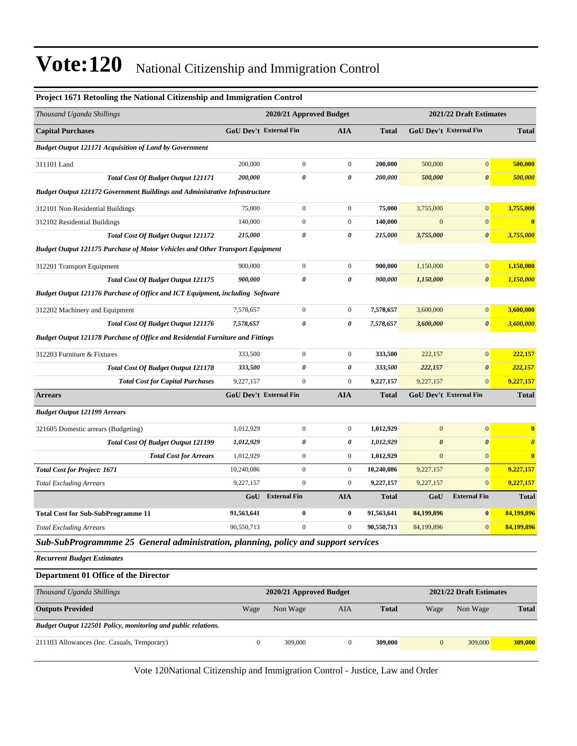| Project 1671 Retooling the National Citizenship and Immigration Control               |                               |                         |                       |              |                               |                         |                       |
|---------------------------------------------------------------------------------------|-------------------------------|-------------------------|-----------------------|--------------|-------------------------------|-------------------------|-----------------------|
| Thousand Uganda Shillings                                                             |                               | 2020/21 Approved Budget |                       |              |                               | 2021/22 Draft Estimates |                       |
| <b>Capital Purchases</b>                                                              | GoU Dev't External Fin        |                         | <b>AIA</b>            | <b>Total</b> | <b>GoU Dev't External Fin</b> |                         | <b>Total</b>          |
| <b>Budget Output 121171 Acquisition of Land by Government</b>                         |                               |                         |                       |              |                               |                         |                       |
| 311101 Land                                                                           | 200,000                       | $\boldsymbol{0}$        | $\boldsymbol{0}$      | 200,000      | 500,000                       | $\boldsymbol{0}$        | 500,000               |
| <b>Total Cost Of Budget Output 121171</b>                                             | 200,000                       | 0                       | $\boldsymbol{\theta}$ | 200,000      | 500,000                       | $\boldsymbol{\theta}$   | 500,000               |
| <b>Budget Output 121172 Government Buildings and Administrative Infrastructure</b>    |                               |                         |                       |              |                               |                         |                       |
| 312101 Non-Residential Buildings                                                      | 75,000                        | $\boldsymbol{0}$        | $\boldsymbol{0}$      | 75,000       | 3,755,000                     | $\boldsymbol{0}$        | 3,755,000             |
| 312102 Residential Buildings                                                          | 140,000                       | $\boldsymbol{0}$        | $\boldsymbol{0}$      | 140,000      | $\mathbf{0}$                  | $\overline{0}$          | $\bf{0}$              |
| <b>Total Cost Of Budget Output 121172</b>                                             | 215,000                       | 0                       | 0                     | 215,000      | 3,755,000                     | 0                       | 3,755,000             |
| <b>Budget Output 121175 Purchase of Motor Vehicles and Other Transport Equipment</b>  |                               |                         |                       |              |                               |                         |                       |
| 312201 Transport Equipment                                                            | 900,000                       | $\boldsymbol{0}$        | $\boldsymbol{0}$      | 900,000      | 1,150,000                     | $\boldsymbol{0}$        | 1,150,000             |
| <b>Total Cost Of Budget Output 121175</b>                                             | 900,000                       | 0                       | $\boldsymbol{\theta}$ | 900,000      | 1,150,000                     | $\boldsymbol{\theta}$   | 1,150,000             |
| <b>Budget Output 121176 Purchase of Office and ICT Equipment, including Software</b>  |                               |                         |                       |              |                               |                         |                       |
| 312202 Machinery and Equipment                                                        | 7,578,657                     | $\boldsymbol{0}$        | $\boldsymbol{0}$      | 7,578,657    | 3,600,000                     | $\boldsymbol{0}$        | 3,600,000             |
| <b>Total Cost Of Budget Output 121176</b>                                             | 7,578,657                     | 0                       | $\boldsymbol{\theta}$ | 7,578,657    | 3,600,000                     | $\boldsymbol{\theta}$   | 3,600,000             |
| <b>Budget Output 121178 Purchase of Office and Residential Furniture and Fittings</b> |                               |                         |                       |              |                               |                         |                       |
| 312203 Furniture & Fixtures                                                           | 333,500                       | $\boldsymbol{0}$        | $\boldsymbol{0}$      | 333,500      | 222,157                       | $\boldsymbol{0}$        | 222,157               |
| <b>Total Cost Of Budget Output 121178</b>                                             | 333,500                       | 0                       | 0                     | 333,500      | 222,157                       | $\pmb{\theta}$          | 222,157               |
| <b>Total Cost for Capital Purchases</b>                                               | 9,227,157                     | $\boldsymbol{0}$        | $\boldsymbol{0}$      | 9,227,157    | 9,227,157                     | $\mathbf{0}$            | 9,227,157             |
| <b>Arrears</b>                                                                        | <b>GoU Dev't External Fin</b> |                         | AIA                   | <b>Total</b> | GoU Dev't External Fin        |                         | <b>Total</b>          |
| <b>Budget Output 121199 Arrears</b>                                                   |                               |                         |                       |              |                               |                         |                       |
| 321605 Domestic arrears (Budgeting)                                                   | 1,012,929                     | $\boldsymbol{0}$        | $\boldsymbol{0}$      | 1,012,929    | $\mathbf{0}$                  | $\boldsymbol{0}$        | $\bf{0}$              |
| <b>Total Cost Of Budget Output 121199</b>                                             | 1,012,929                     | 0                       | 0                     | 1,012,929    | $\boldsymbol{\theta}$         | $\boldsymbol{\theta}$   | $\boldsymbol{\theta}$ |
| <b>Total Cost for Arrears</b>                                                         | 1,012,929                     | $\boldsymbol{0}$        | $\boldsymbol{0}$      | 1,012,929    | $\mathbf{0}$                  | $\boldsymbol{0}$        | $\bf{0}$              |
| <b>Total Cost for Project: 1671</b>                                                   | 10,240,086                    | $\boldsymbol{0}$        | $\boldsymbol{0}$      | 10,240,086   | 9,227,157                     | $\boldsymbol{0}$        | 9,227,157             |
| <b>Total Excluding Arrears</b>                                                        | 9,227,157                     | $\boldsymbol{0}$        | $\boldsymbol{0}$      | 9,227,157    | 9,227,157                     | $\overline{0}$          | 9,227,157             |
|                                                                                       | GoU                           | <b>External Fin</b>     | <b>AIA</b>            | <b>Total</b> | GoU                           | <b>External Fin</b>     | <b>Total</b>          |
| <b>Total Cost for Sub-SubProgramme 11</b>                                             | 91,563,641                    | $\bf{0}$                | $\bf{0}$              | 91.563.641   | 84,199,896                    | $\bf{0}$                | 84,199,896            |
| <b>Total Excluding Arrears</b>                                                        | 90,550,713                    | $\boldsymbol{0}$        | $\boldsymbol{0}$      | 90,550,713   | 84,199,896                    | $\mathbf{0}$            | 84,199,896            |
| Sub-SubProgrammme 25 General administration, planning, policy and support services    |                               |                         |                       |              |                               |                         |                       |
| <b>Recurrent Budget Estimates</b>                                                     |                               |                         |                       |              |                               |                         |                       |
| Department 01 Office of the Director                                                  |                               |                         |                       |              |                               |                         |                       |
| Thousand Uganda Shillings                                                             |                               | 2020/21 Approved Budget |                       |              |                               | 2021/22 Draft Estimates |                       |
| <b>Outputs Provided</b>                                                               | Wage                          | Non Wage                | AIA                   | <b>Total</b> | Wage                          | Non Wage                | <b>Total</b>          |
| Budget Output 122501 Policy, monitoring and public relations.                         |                               |                         |                       |              |                               |                         |                       |
| 211103 Allowances (Inc. Casuals, Temporary)                                           | $\boldsymbol{0}$              | 309,000                 | $\boldsymbol{0}$      | 309,000      | $\mathbf{0}$                  | 309,000                 | 309,000               |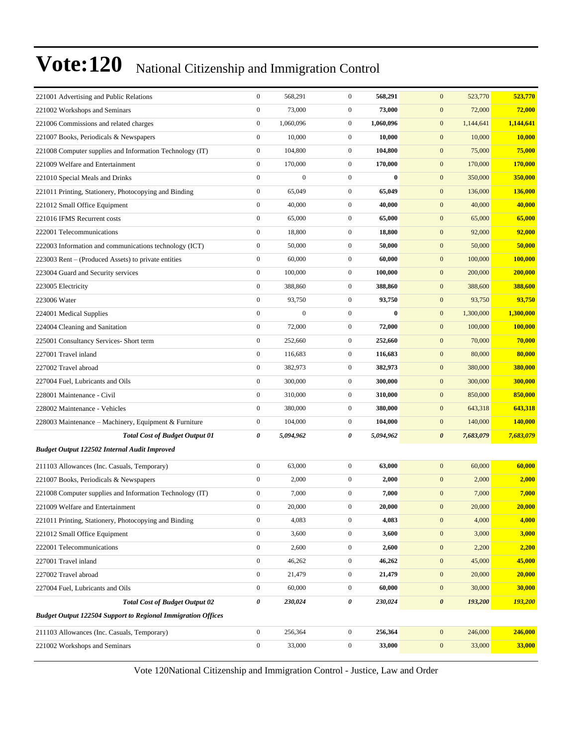| 221001 Advertising and Public Relations                             | $\boldsymbol{0}$ | 568,291          | $\mathbf{0}$     | 568,291   | $\mathbf{0}$<br>523,770            | 523,770   |
|---------------------------------------------------------------------|------------------|------------------|------------------|-----------|------------------------------------|-----------|
| 221002 Workshops and Seminars                                       | $\boldsymbol{0}$ | 73,000           | $\boldsymbol{0}$ | 73,000    | $\boldsymbol{0}$<br>72,000         | 72,000    |
| 221006 Commissions and related charges                              | $\boldsymbol{0}$ | 1,060,096        | $\mathbf{0}$     | 1,060,096 | $\boldsymbol{0}$<br>1,144,641      | 1.144.641 |
| 221007 Books, Periodicals & Newspapers                              | $\boldsymbol{0}$ | 10,000           | $\boldsymbol{0}$ | 10,000    | $\mathbf{0}$<br>10,000             | 10,000    |
| 221008 Computer supplies and Information Technology (IT)            | $\boldsymbol{0}$ | 104,800          | $\mathbf{0}$     | 104,800   | $\boldsymbol{0}$<br>75,000         | 75,000    |
| 221009 Welfare and Entertainment                                    | $\boldsymbol{0}$ | 170,000          | $\mathbf{0}$     | 170,000   | $\mathbf{0}$<br>170,000            | 170,000   |
| 221010 Special Meals and Drinks                                     | $\boldsymbol{0}$ | $\boldsymbol{0}$ | $\mathbf{0}$     | $\bf{0}$  | $\boldsymbol{0}$<br>350,000        | 350,000   |
| 221011 Printing, Stationery, Photocopying and Binding               | $\boldsymbol{0}$ | 65,049           | $\mathbf{0}$     | 65,049    | $\boldsymbol{0}$<br>136,000        | 136,000   |
| 221012 Small Office Equipment                                       | $\boldsymbol{0}$ | 40,000           | $\boldsymbol{0}$ | 40,000    | $\mathbf{0}$<br>40,000             | 40,000    |
| 221016 IFMS Recurrent costs                                         | $\boldsymbol{0}$ | 65,000           | $\boldsymbol{0}$ | 65,000    | $\boldsymbol{0}$<br>65,000         | 65,000    |
| 222001 Telecommunications                                           | $\boldsymbol{0}$ | 18,800           | $\mathbf{0}$     | 18,800    | $\mathbf{0}$<br>92,000             | 92,000    |
| 222003 Information and communications technology (ICT)              | $\boldsymbol{0}$ | 50,000           | $\mathbf{0}$     | 50,000    | $\boldsymbol{0}$<br>50,000         | 50,000    |
| 223003 Rent – (Produced Assets) to private entities                 | $\boldsymbol{0}$ | 60,000           | $\boldsymbol{0}$ | 60,000    | $\boldsymbol{0}$<br>100,000        | 100,000   |
| 223004 Guard and Security services                                  | $\boldsymbol{0}$ | 100,000          | $\boldsymbol{0}$ | 100,000   | $\boldsymbol{0}$<br>200,000        | 200,000   |
| 223005 Electricity                                                  | $\boldsymbol{0}$ | 388,860          | $\boldsymbol{0}$ | 388,860   | $\mathbf{0}$<br>388,600            | 388,600   |
| 223006 Water                                                        | $\boldsymbol{0}$ | 93,750           | $\mathbf{0}$     | 93,750    | $\mathbf{0}$<br>93,750             | 93,750    |
| 224001 Medical Supplies                                             | $\boldsymbol{0}$ | $\boldsymbol{0}$ | $\boldsymbol{0}$ | $\bf{0}$  | $\boldsymbol{0}$<br>1,300,000      | 1,300,000 |
| 224004 Cleaning and Sanitation                                      | $\boldsymbol{0}$ | 72,000           | $\mathbf{0}$     | 72,000    | $\boldsymbol{0}$<br>100,000        | 100,000   |
| 225001 Consultancy Services- Short term                             | $\boldsymbol{0}$ | 252,660          | $\boldsymbol{0}$ | 252,660   | $\mathbf{0}$<br>70,000             | 70,000    |
| 227001 Travel inland                                                | $\mathbf{0}$     | 116,683          | $\mathbf{0}$     | 116,683   | $\boldsymbol{0}$<br>80,000         | 80,000    |
| 227002 Travel abroad                                                | $\boldsymbol{0}$ | 382,973          | $\mathbf{0}$     | 382,973   | $\mathbf{0}$<br>380,000            | 380,000   |
| 227004 Fuel, Lubricants and Oils                                    | $\boldsymbol{0}$ | 300,000          | $\mathbf{0}$     | 300,000   | $\boldsymbol{0}$<br>300,000        | 300,000   |
| 228001 Maintenance - Civil                                          | $\boldsymbol{0}$ | 310,000          | $\boldsymbol{0}$ | 310,000   | $\boldsymbol{0}$<br>850,000        | 850,000   |
| 228002 Maintenance - Vehicles                                       | $\boldsymbol{0}$ | 380,000          | $\boldsymbol{0}$ | 380,000   | $\mathbf{0}$<br>643,318            | 643,318   |
| 228003 Maintenance - Machinery, Equipment & Furniture               | $\boldsymbol{0}$ | 104,000          | $\mathbf{0}$     | 104,000   | $\mathbf{0}$<br>140,000            | 140,000   |
| <b>Total Cost of Budget Output 01</b>                               | 0                | 5,094,962        | 0                | 5,094,962 | 7,683,079<br>$\boldsymbol{\theta}$ | 7,683,079 |
| Budget Output 122502 Internal Audit Improved                        |                  |                  |                  |           |                                    |           |
| 211103 Allowances (Inc. Casuals, Temporary)                         | $\boldsymbol{0}$ | 63,000           | $\boldsymbol{0}$ | 63,000    | $\mathbf{0}$<br>60,000             | 60,000    |
| 221007 Books, Periodicals & Newspapers                              | $\boldsymbol{0}$ | 2,000            | $\boldsymbol{0}$ | 2,000     | $\mathbf{0}$<br>2,000              | 2,000     |
| 221008 Computer supplies and Information Technology (IT)            | $\boldsymbol{0}$ | 7,000            | $\boldsymbol{0}$ | 7,000     | $\mathbf{0}$<br>7,000              | 7,000     |
| 221009 Welfare and Entertainment                                    | $\mathbf{0}$     | 20,000           | $\mathbf{0}$     | 20,000    | $\mathbf{0}$<br>20,000             | 20,000    |
| 221011 Printing, Stationery, Photocopying and Binding               | $\mathbf{0}$     | 4,083            | $\boldsymbol{0}$ | 4,083     | $\boldsymbol{0}$<br>4,000          | 4,000     |
| 221012 Small Office Equipment                                       | $\boldsymbol{0}$ | 3,600            | $\boldsymbol{0}$ | 3,600     | $\boldsymbol{0}$<br>3,000          | 3,000     |
| 222001 Telecommunications                                           | $\boldsymbol{0}$ | 2,600            | $\boldsymbol{0}$ | 2,600     | $\boldsymbol{0}$<br>2,200          | 2,200     |
| 227001 Travel inland                                                | $\mathbf{0}$     | 46,262           | $\boldsymbol{0}$ | 46,262    | $\boldsymbol{0}$<br>45,000         | 45,000    |
| 227002 Travel abroad                                                | $\mathbf{0}$     | 21,479           | $\boldsymbol{0}$ | 21,479    | $\boldsymbol{0}$<br>20,000         | 20,000    |
| 227004 Fuel, Lubricants and Oils                                    | $\boldsymbol{0}$ | 60,000           | $\boldsymbol{0}$ | 60,000    | $\mathbf{0}$<br>30,000             | 30,000    |
| <b>Total Cost of Budget Output 02</b>                               | 0                | 230,024          | 0                | 230,024   | $\boldsymbol{\theta}$<br>193,200   | 193,200   |
| <b>Budget Output 122504 Support to Regional Immigration Offices</b> |                  |                  |                  |           |                                    |           |
| 211103 Allowances (Inc. Casuals, Temporary)                         | $\boldsymbol{0}$ | 256,364          | $\boldsymbol{0}$ | 256,364   | $\mathbf{0}$<br>246,000            | 246,000   |
| 221002 Workshops and Seminars                                       | $\boldsymbol{0}$ | 33,000           | $\boldsymbol{0}$ | 33,000    | 33,000<br>$\mathbf{0}$             | 33,000    |
|                                                                     |                  |                  |                  |           |                                    |           |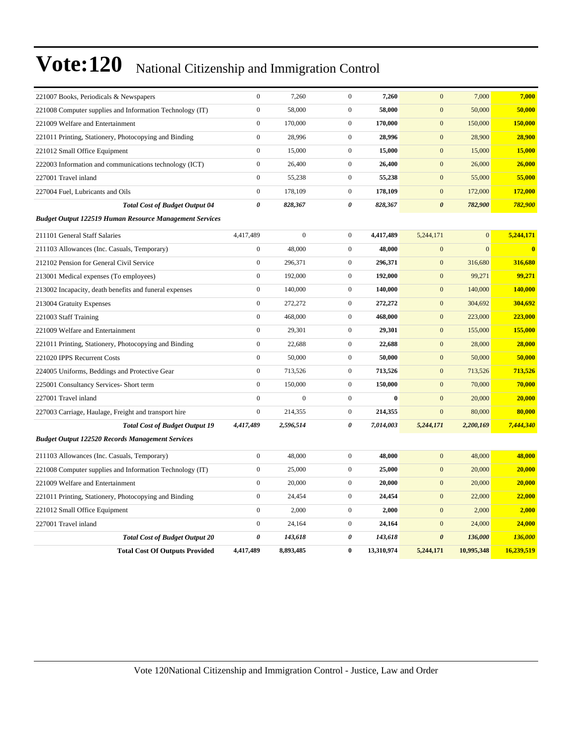| 221007 Books, Periodicals & Newspapers                         | $\boldsymbol{0}$      | 7,260          | $\boldsymbol{0}$ | 7,260      | $\mathbf{0}$          | 7,000          | 7,000          |
|----------------------------------------------------------------|-----------------------|----------------|------------------|------------|-----------------------|----------------|----------------|
| 221008 Computer supplies and Information Technology (IT)       | $\mathbf{0}$          | 58,000         | $\boldsymbol{0}$ | 58,000     | $\mathbf{0}$          | 50,000         | 50,000         |
| 221009 Welfare and Entertainment                               | $\mathbf{0}$          | 170,000        | $\mathbf{0}$     | 170,000    | $\boldsymbol{0}$      | 150,000        | 150,000        |
| 221011 Printing, Stationery, Photocopying and Binding          | $\mathbf{0}$          | 28,996         | $\boldsymbol{0}$ | 28,996     | $\mathbf{0}$          | 28,900         | 28,900         |
| 221012 Small Office Equipment                                  | $\boldsymbol{0}$      | 15,000         | $\mathbf{0}$     | 15,000     | $\mathbf{0}$          | 15,000         | 15,000         |
| 222003 Information and communications technology (ICT)         | $\boldsymbol{0}$      | 26,400         | $\boldsymbol{0}$ | 26,400     | $\mathbf{0}$          | 26,000         | 26,000         |
| 227001 Travel inland                                           | $\boldsymbol{0}$      | 55,238         | $\boldsymbol{0}$ | 55,238     | $\boldsymbol{0}$      | 55,000         | 55,000         |
| 227004 Fuel, Lubricants and Oils                               | $\mathbf{0}$          | 178,109        | $\boldsymbol{0}$ | 178,109    | $\mathbf{0}$          | 172,000        | 172,000        |
| <b>Total Cost of Budget Output 04</b>                          | $\boldsymbol{\theta}$ | 828,367        | $\pmb{\theta}$   | 828,367    | $\boldsymbol{\theta}$ | 782,900        | 782,900        |
| <b>Budget Output 122519 Human Resource Management Services</b> |                       |                |                  |            |                       |                |                |
| 211101 General Staff Salaries                                  | 4,417,489             | $\overline{0}$ | $\boldsymbol{0}$ | 4,417,489  | 5,244,171             | $\overline{0}$ | 5,244,171      |
| 211103 Allowances (Inc. Casuals, Temporary)                    | $\boldsymbol{0}$      | 48,000         | $\boldsymbol{0}$ | 48,000     | $\mathbf{0}$          | $\overline{0}$ | $\bf{0}$       |
| 212102 Pension for General Civil Service                       | $\boldsymbol{0}$      | 296,371        | $\boldsymbol{0}$ | 296,371    | $\mathbf{0}$          | 316,680        | 316,680        |
| 213001 Medical expenses (To employees)                         | $\boldsymbol{0}$      | 192,000        | $\boldsymbol{0}$ | 192,000    | $\boldsymbol{0}$      | 99,271         | 99,271         |
| 213002 Incapacity, death benefits and funeral expenses         | $\mathbf{0}$          | 140,000        | $\boldsymbol{0}$ | 140,000    | $\mathbf{0}$          | 140,000        | 140,000        |
| 213004 Gratuity Expenses                                       | $\mathbf{0}$          | 272,272        | $\boldsymbol{0}$ | 272,272    | $\mathbf{0}$          | 304,692        | 304,692        |
| 221003 Staff Training                                          | $\boldsymbol{0}$      | 468,000        | $\boldsymbol{0}$ | 468,000    | $\mathbf{0}$          | 223,000        | 223,000        |
| 221009 Welfare and Entertainment                               | $\boldsymbol{0}$      | 29,301         | $\boldsymbol{0}$ | 29,301     | $\mathbf{0}$          | 155,000        | 155,000        |
| 221011 Printing, Stationery, Photocopying and Binding          | $\mathbf{0}$          | 22,688         | $\boldsymbol{0}$ | 22,688     | $\boldsymbol{0}$      | 28,000         | 28,000         |
| 221020 IPPS Recurrent Costs                                    | $\mathbf{0}$          | 50,000         | $\mathbf{0}$     | 50,000     | $\mathbf{0}$          | 50,000         | 50,000         |
| 224005 Uniforms, Beddings and Protective Gear                  | $\overline{0}$        | 713,526        | $\boldsymbol{0}$ | 713,526    | $\mathbf{0}$          | 713,526        | 713,526        |
| 225001 Consultancy Services- Short term                        | $\boldsymbol{0}$      | 150,000        | $\boldsymbol{0}$ | 150,000    | $\mathbf{0}$          | 70,000         | 70,000         |
| 227001 Travel inland                                           | $\overline{0}$        | $\overline{0}$ | $\boldsymbol{0}$ | $\bf{0}$   | $\overline{0}$        | 20,000         | 20,000         |
| 227003 Carriage, Haulage, Freight and transport hire           | $\mathbf{0}$          | 214,355        | $\boldsymbol{0}$ | 214,355    | $\mathbf{0}$          | 80,000         | 80,000         |
| <b>Total Cost of Budget Output 19</b>                          | 4,417,489             | 2,596,514      | 0                | 7,014,003  | 5,244,171             | 2,200,169      | 7,444,340      |
| <b>Budget Output 122520 Records Management Services</b>        |                       |                |                  |            |                       |                |                |
| 211103 Allowances (Inc. Casuals, Temporary)                    | $\mathbf{0}$          | 48,000         | $\boldsymbol{0}$ | 48,000     | $\overline{0}$        | 48,000         | 48,000         |
| 221008 Computer supplies and Information Technology (IT)       | $\mathbf{0}$          | 25,000         | $\boldsymbol{0}$ | 25,000     | $\mathbf{0}$          | 20,000         | 20,000         |
| 221009 Welfare and Entertainment                               | $\overline{0}$        | 20,000         | $\boldsymbol{0}$ | 20,000     | $\mathbf{0}$          | 20,000         | 20,000         |
| 221011 Printing, Stationery, Photocopying and Binding          | $\boldsymbol{0}$      | 24,454         | $\mathbf{0}$     | 24,454     | $\mathbf{0}$          | 22,000         | 22,000         |
| 221012 Small Office Equipment                                  | $\mathbf{0}$          | 2,000          | $\mathbf{0}$     | 2,000      | $\overline{0}$        | 2,000          | 2,000          |
| 227001 Travel inland                                           | $\boldsymbol{0}$      | 24,164         | $\boldsymbol{0}$ | 24,164     | $\mathbf{0}$          | 24,000         | 24,000         |
| <b>Total Cost of Budget Output 20</b>                          | $\boldsymbol{\theta}$ | 143,618        | 0                | 143,618    | $\boldsymbol{\theta}$ | 136,000        | <b>136,000</b> |
| <b>Total Cost Of Outputs Provided</b>                          | 4,417,489             | 8,893,485      | $\bf{0}$         | 13,310,974 | 5,244,171             | 10,995,348     | 16,239,519     |